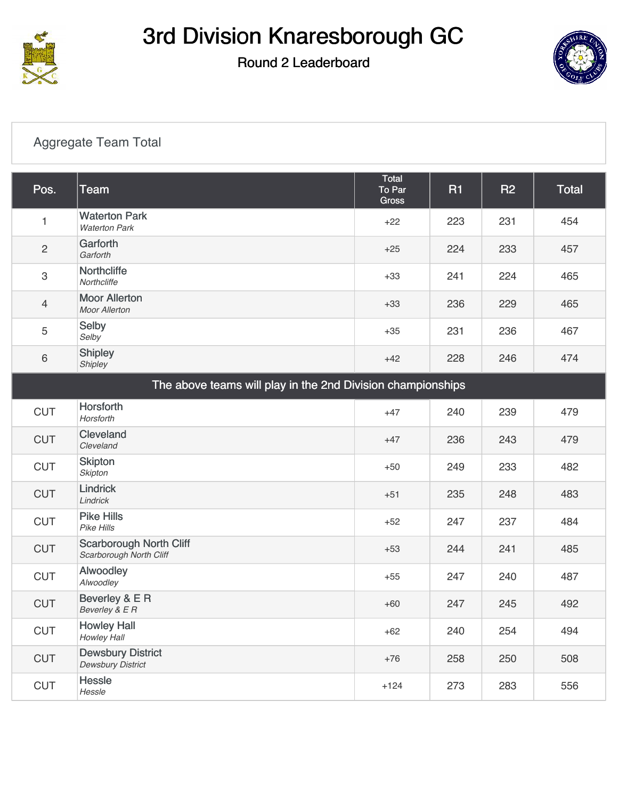

### Round 2 Leaderboard



#### [Aggregate Team Total](https://cdn2.golfgenius.com/v2tournaments/7027104993148697424?called_from=&round_index=2)

| Pos.                                                        | <b>Team</b>                                               | Total<br>To Par<br><b>Gross</b> | <b>R1</b> | R <sub>2</sub> | <b>Total</b> |
|-------------------------------------------------------------|-----------------------------------------------------------|---------------------------------|-----------|----------------|--------------|
| 1                                                           | <b>Waterton Park</b><br><b>Waterton Park</b>              | $+22$                           | 223       | 231            | 454          |
| $\overline{2}$                                              | Garforth<br>Garforth                                      | $+25$                           | 224       | 233            | 457          |
| 3                                                           | Northcliffe<br>Northcliffe                                | $+33$                           | 241       | 224            | 465          |
| $\overline{4}$                                              | <b>Moor Allerton</b><br><b>Moor Allerton</b>              | $+33$                           | 236       | 229            | 465          |
| 5                                                           | Selby<br>Selby                                            | $+35$                           | 231       | 236            | 467          |
| 6                                                           | <b>Shipley</b><br>Shipley                                 | $+42$                           | 228       | 246            | 474          |
| The above teams will play in the 2nd Division championships |                                                           |                                 |           |                |              |
| <b>CUT</b>                                                  | Horsforth<br>Horsforth                                    | $+47$                           | 240       | 239            | 479          |
| <b>CUT</b>                                                  | Cleveland<br>Cleveland                                    | $+47$                           | 236       | 243            | 479          |
| <b>CUT</b>                                                  | <b>Skipton</b><br><b>Skipton</b>                          | $+50$                           | 249       | 233            | 482          |
| <b>CUT</b>                                                  | <b>Lindrick</b><br>Lindrick                               | $+51$                           | 235       | 248            | 483          |
| <b>CUT</b>                                                  | <b>Pike Hills</b><br>Pike Hills                           | $+52$                           | 247       | 237            | 484          |
| <b>CUT</b>                                                  | <b>Scarborough North Cliff</b><br>Scarborough North Cliff | $+53$                           | 244       | 241            | 485          |
| <b>CUT</b>                                                  | Alwoodley<br>Alwoodley                                    | $+55$                           | 247       | 240            | 487          |
| <b>CUT</b>                                                  | Beverley & E R<br>Beverley & E R                          | $+60$                           | 247       | 245            | 492          |
| <b>CUT</b>                                                  | <b>Howley Hall</b><br>Howley Hall                         | $+62$                           | 240       | 254            | 494          |
| <b>CUT</b>                                                  | <b>Dewsbury District</b><br><b>Dewsbury District</b>      | $+76$                           | 258       | 250            | 508          |
| <b>CUT</b>                                                  | <b>Hessle</b><br>Hessle                                   | $+124$                          | 273       | 283            | 556          |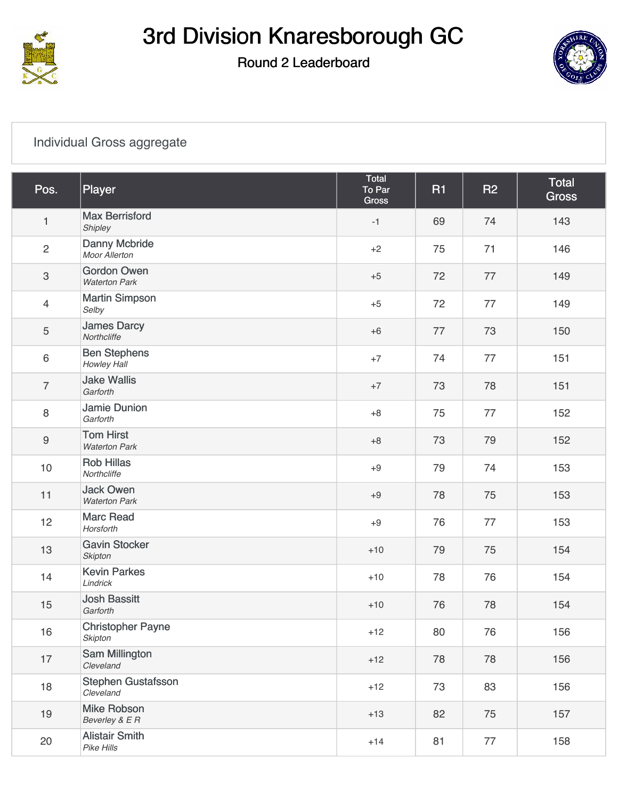

### Round 2 Leaderboard



#### [Individual Gross aggregate](https://cdn2.golfgenius.com/v2tournaments/7027105012643822419?called_from=&round_index=2)

| Pos.             | Player                                     | Total<br>To Par<br>Gross | <b>R1</b> | <b>R2</b> | <b>Total</b><br><b>Gross</b> |
|------------------|--------------------------------------------|--------------------------|-----------|-----------|------------------------------|
| $\mathbf{1}$     | <b>Max Berrisford</b><br>Shipley           | $-1$                     | 69        | 74        | 143                          |
| $\overline{c}$   | Danny Mcbride<br>Moor Allerton             | $+2$                     | 75        | 71        | 146                          |
| $\,3$            | <b>Gordon Owen</b><br><b>Waterton Park</b> | $+5$                     | 72        | 77        | 149                          |
| $\overline{4}$   | <b>Martin Simpson</b><br>Selby             | $+5$                     | 72        | 77        | 149                          |
| $\sqrt{5}$       | <b>James Darcy</b><br>Northcliffe          | $+6$                     | 77        | 73        | 150                          |
| $\,6\,$          | <b>Ben Stephens</b><br>Howley Hall         | $+7$                     | 74        | 77        | 151                          |
| $\overline{7}$   | <b>Jake Wallis</b><br>Garforth             | $+7$                     | 73        | 78        | 151                          |
| $\, 8$           | <b>Jamie Dunion</b><br>Garforth            | $+8$                     | 75        | 77        | 152                          |
| $\boldsymbol{9}$ | <b>Tom Hirst</b><br><b>Waterton Park</b>   | $+8$                     | 73        | 79        | 152                          |
| $10$             | <b>Rob Hillas</b><br>Northcliffe           | $+9$                     | 79        | 74        | 153                          |
| 11               | <b>Jack Owen</b><br><b>Waterton Park</b>   | $+9$                     | 78        | 75        | 153                          |
| 12               | <b>Marc Read</b><br>Horsforth              | $+9$                     | 76        | 77        | 153                          |
| 13               | <b>Gavin Stocker</b><br><b>Skipton</b>     | $+10$                    | 79        | 75        | 154                          |
| 14               | <b>Kevin Parkes</b><br>Lindrick            | $+10$                    | 78        | 76        | 154                          |
| 15               | <b>Josh Bassitt</b><br>Garforth            | $+10$                    | 76        | 78        | 154                          |
| 16               | <b>Christopher Payne</b><br><b>Skipton</b> | $+12$                    | 80        | 76        | 156                          |
| 17               | Sam Millington<br>Cleveland                | $+12$                    | 78        | 78        | 156                          |
| 18               | <b>Stephen Gustafsson</b><br>Cleveland     | $+12$                    | 73        | 83        | 156                          |
| 19               | <b>Mike Robson</b><br>Beverley & E R       | $+13$                    | 82        | 75        | 157                          |
| 20               | <b>Alistair Smith</b><br>Pike Hills        | $+14$                    | 81        | 77        | 158                          |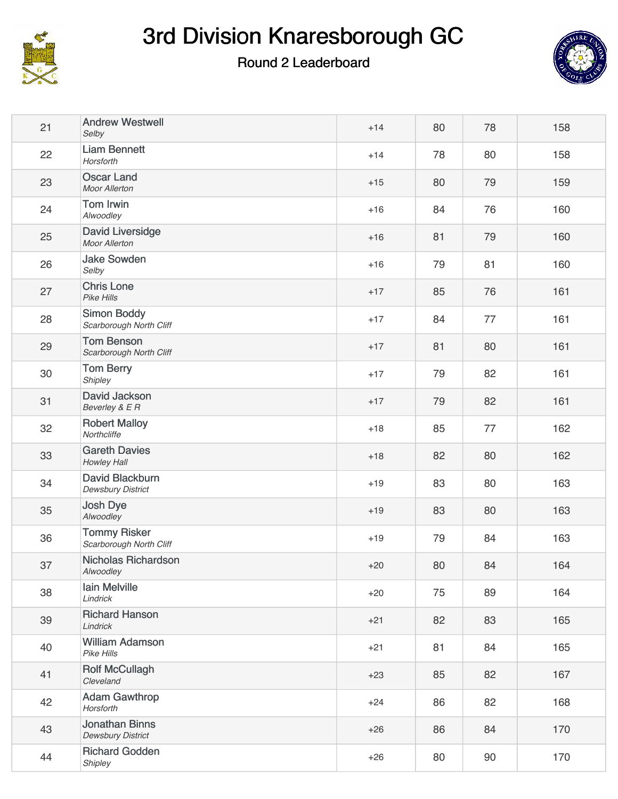

### Round 2 Leaderboard



| 21 | <b>Andrew Westwell</b><br>Selby                   | $+14$ | 80 | 78 | 158 |
|----|---------------------------------------------------|-------|----|----|-----|
| 22 | <b>Liam Bennett</b><br>Horsforth                  | $+14$ | 78 | 80 | 158 |
| 23 | <b>Oscar Land</b><br><b>Moor Allerton</b>         | $+15$ | 80 | 79 | 159 |
| 24 | <b>Tom Irwin</b><br>Alwoodley                     | $+16$ | 84 | 76 | 160 |
| 25 | <b>David Liversidge</b><br>Moor Allerton          | $+16$ | 81 | 79 | 160 |
| 26 | <b>Jake Sowden</b><br>Selby                       | $+16$ | 79 | 81 | 160 |
| 27 | <b>Chris Lone</b><br>Pike Hills                   | $+17$ | 85 | 76 | 161 |
| 28 | <b>Simon Boddy</b><br>Scarborough North Cliff     | $+17$ | 84 | 77 | 161 |
| 29 | <b>Tom Benson</b><br>Scarborough North Cliff      | $+17$ | 81 | 80 | 161 |
| 30 | <b>Tom Berry</b><br>Shipley                       | $+17$ | 79 | 82 | 161 |
| 31 | David Jackson<br>Beverley & E R                   | $+17$ | 79 | 82 | 161 |
| 32 | <b>Robert Malloy</b><br>Northcliffe               | $+18$ | 85 | 77 | 162 |
| 33 | <b>Gareth Davies</b><br>Howley Hall               | $+18$ | 82 | 80 | 162 |
| 34 | David Blackburn<br>Dewsbury District              | $+19$ | 83 | 80 | 163 |
| 35 | Josh Dye<br>Alwoodley                             | $+19$ | 83 | 80 | 163 |
| 36 | <b>Tommy Risker</b><br>Scarborough North Cliff    | $+19$ | 79 | 84 | 163 |
| 37 | <b>Nicholas Richardson</b><br>Alwoodley           | $+20$ | 80 | 84 | 164 |
| 38 | Iain Melville<br>Lindrick                         | $+20$ | 75 | 89 | 164 |
| 39 | <b>Richard Hanson</b><br>Lindrick                 | $+21$ | 82 | 83 | 165 |
| 40 | <b>William Adamson</b><br><b>Pike Hills</b>       | $+21$ | 81 | 84 | 165 |
| 41 | <b>Rolf McCullagh</b><br>Cleveland                | $+23$ | 85 | 82 | 167 |
| 42 | <b>Adam Gawthrop</b><br>Horsforth                 | $+24$ | 86 | 82 | 168 |
| 43 | <b>Jonathan Binns</b><br><b>Dewsbury District</b> | $+26$ | 86 | 84 | 170 |
| 44 | <b>Richard Godden</b><br>Shipley                  | $+26$ | 80 | 90 | 170 |